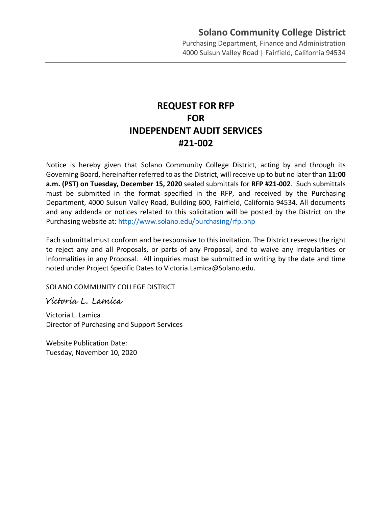Purchasing Department, Finance and Administration 4000 Suisun Valley Road | Fairfield, California 94534

# **REQUEST FOR RFP FOR INDEPENDENT AUDIT SERVICES #21-002**

Notice is hereby given that Solano Community College District, acting by and through its Governing Board, hereinafter referred to as the District, will receive up to but no later than **11:00 a.m. (PST) on Tuesday, December 15, 2020** sealed submittals for **RFP #21-002**. Such submittals must be submitted in the format specified in the RFP, and received by the Purchasing Department, 4000 Suisun Valley Road, Building 600, Fairfield, California 94534. All documents and any addenda or notices related to this solicitation will be posted by the District on the Purchasing website at: <http://www.solano.edu/purchasing/rfp.php>

Each submittal must conform and be responsive to this invitation. The District reserves the right to reject any and all Proposals, or parts of any Proposal, and to waive any irregularities or informalities in any Proposal. All inquiries must be submitted in writing by the date and time noted under Project Specific Dates to Victoria.Lamica@Solano.edu.

SOLANO COMMUNITY COLLEGE DISTRICT

Victoria L. Lamica

Victoria L. Lamica Director of Purchasing and Support Services

Website Publication Date: Tuesday, November 10, 2020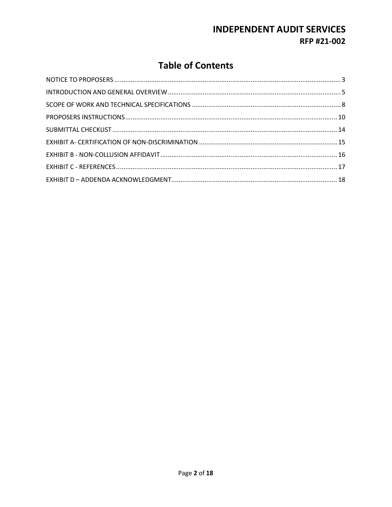# **Table of Contents**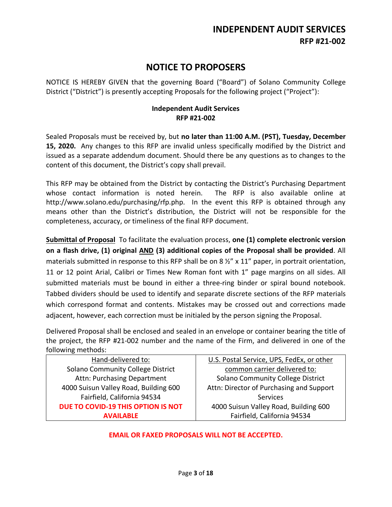# **NOTICE TO PROPOSERS**

<span id="page-2-0"></span>NOTICE IS HEREBY GIVEN that the governing Board ("Board") of Solano Community College District ("District") is presently accepting Proposals for the following project ("Project"):

#### **Independent Audit Services RFP #21-002**

Sealed Proposals must be received by, but **no later than 11:00 A.M. (PST), Tuesday, December 15, 2020.** Any changes to this RFP are invalid unless specifically modified by the District and issued as a separate addendum document. Should there be any questions as to changes to the content of this document, the District's copy shall prevail.

This RFP may be obtained from the District by contacting the District's Purchasing Department whose contact information is noted herein. The RFP is also available online at http://www.solano.edu/purchasing/rfp.php. In the event this RFP is obtained through any means other than the District's distribution, the District will not be responsible for the completeness, accuracy, or timeliness of the final RFP document.

**Submittal of Proposal** To facilitate the evaluation process, **one (1) complete electronic version on a flash drive, (1) original AND (3) additional copies of the Proposal shall be provided**. All materials submitted in response to this RFP shall be on 8  $\frac{1}{2}$  x 11" paper, in portrait orientation, 11 or 12 point Arial, Calibri or Times New Roman font with 1" page margins on all sides. All submitted materials must be bound in either a three-ring binder or spiral bound notebook. Tabbed dividers should be used to identify and separate discrete sections of the RFP materials which correspond format and contents. Mistakes may be crossed out and corrections made adjacent, however, each correction must be initialed by the person signing the Proposal.

Delivered Proposal shall be enclosed and sealed in an envelope or container bearing the title of the project, the RFP #21-002 number and the name of the Firm, and delivered in one of the following methods:

| Hand-delivered to:                    | U.S. Postal Service, UPS, FedEx, or other |
|---------------------------------------|-------------------------------------------|
| Solano Community College District     | common carrier delivered to:              |
| Attn: Purchasing Department           | Solano Community College District         |
| 4000 Suisun Valley Road, Building 600 | Attn: Director of Purchasing and Support  |
| Fairfield, California 94534           | Services                                  |
| DUE TO COVID-19 THIS OPTION IS NOT    | 4000 Suisun Valley Road, Building 600     |
| <b>AVAILABLE</b>                      | Fairfield, California 94534               |

#### **EMAIL OR FAXED PROPOSALS WILL NOT BE ACCEPTED.**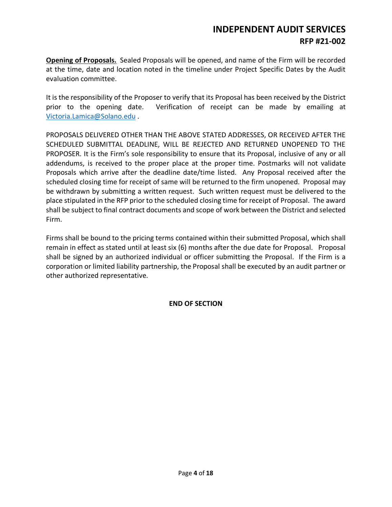**Opening of Proposals.** Sealed Proposals will be opened, and name of the Firm will be recorded at the time, date and location noted in the timeline under Project Specific Dates by the Audit evaluation committee.

It is the responsibility of the Proposer to verify that its Proposal has been received by the District prior to the opening date. Verification of receipt can be made by emailing at [Victoria.Lamica@Solano.edu](mailto:Victoria.Lamica@Solano.edu) .

PROPOSALS DELIVERED OTHER THAN THE ABOVE STATED ADDRESSES, OR RECEIVED AFTER THE SCHEDULED SUBMITTAL DEADLINE, WILL BE REJECTED AND RETURNED UNOPENED TO THE PROPOSER. It is the Firm's sole responsibility to ensure that its Proposal, inclusive of any or all addendums, is received to the proper place at the proper time. Postmarks will not validate Proposals which arrive after the deadline date/time listed. Any Proposal received after the scheduled closing time for receipt of same will be returned to the firm unopened. Proposal may be withdrawn by submitting a written request. Such written request must be delivered to the place stipulated in the RFP prior to the scheduled closing time for receipt of Proposal. The award shall be subject to final contract documents and scope of work between the District and selected Firm.

Firms shall be bound to the pricing terms contained within their submitted Proposal, which shall remain in effect as stated until at least six (6) months after the due date for Proposal. Proposal shall be signed by an authorized individual or officer submitting the Proposal. If the Firm is a corporation or limited liability partnership, the Proposal shall be executed by an audit partner or other authorized representative.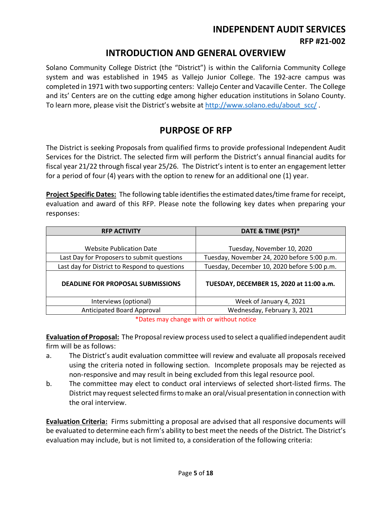# **INDEPENDENT AUDIT SERVICES**

**RFP #21-002**

### **INTRODUCTION AND GENERAL OVERVIEW**

<span id="page-4-0"></span>Solano Community College District (the "District") is within the California Community College system and was established in 1945 as Vallejo Junior College. The 192-acre campus was completed in 1971 with two supporting centers: Vallejo Center and Vacaville Center. The College and its' Centers are on the cutting edge among higher education institutions in Solano County. To learn more, please visit the District's website at [http://www.solano.edu/about\\_scc/](http://www.solano.edu/about_scc/) .

# **PURPOSE OF RFP**

The District is seeking Proposals from qualified firms to provide professional Independent Audit Services for the District. The selected firm will perform the District's annual financial audits for fiscal year 21/22 through fiscal year 25/26. The District's intent is to enter an engagement letter for a period of four (4) years with the option to renew for an additional one (1) year.

**Project Specific Dates:** The following table identifies the estimated dates/time frame for receipt, evaluation and award of this RFP. Please note the following key dates when preparing your responses:

| <b>RFP ACTIVITY</b>                           | DATE & TIME (PST)*                          |
|-----------------------------------------------|---------------------------------------------|
|                                               |                                             |
| <b>Website Publication Date</b>               | Tuesday, November 10, 2020                  |
| Last Day for Proposers to submit questions    | Tuesday, November 24, 2020 before 5:00 p.m. |
| Last day for District to Respond to questions | Tuesday, December 10, 2020 before 5:00 p.m. |
| <b>DEADLINE FOR PROPOSAL SUBMISSIONS</b>      | TUESDAY, DECEMBER 15, 2020 at 11:00 a.m.    |
| Interviews (optional)                         | Week of January 4, 2021                     |
| Anticipated Board Approval                    | Wednesday, February 3, 2021                 |

\*Dates may change with or without notice

**Evaluation of Proposal:** The Proposal review process used to select a qualified independent audit firm will be as follows:

- a. The District's audit evaluation committee will review and evaluate all proposals received using the criteria noted in following section. Incomplete proposals may be rejected as non-responsive and may result in being excluded from this legal resource pool.
- b. The committee may elect to conduct oral interviews of selected short-listed firms. The District may request selected firmsto make an oral/visual presentation in connection with the oral interview.

**Evaluation Criteria:** Firms submitting a proposal are advised that all responsive documents will be evaluated to determine each firm's ability to best meet the needs of the District. The District's evaluation may include, but is not limited to, a consideration of the following criteria: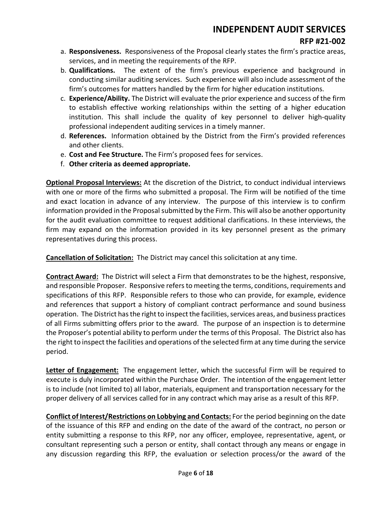#### **RFP #21-002**

- a. **Responsiveness.** Responsiveness of the Proposal clearly states the firm's practice areas, services, and in meeting the requirements of the RFP.
- b. **Qualifications.** The extent of the firm's previous experience and background in conducting similar auditing services. Such experience will also include assessment of the firm's outcomes for matters handled by the firm for higher education institutions.
- c. **Experience/Ability.** The District will evaluate the prior experience and success of the firm to establish effective working relationships within the setting of a higher education institution. This shall include the quality of key personnel to deliver high-quality professional independent auditing services in a timely manner.
- d. **References.** Information obtained by the District from the Firm's provided references and other clients.
- e. **Cost and Fee Structure.** The Firm's proposed fees for services.
- f. **Other criteria as deemed appropriate.**

**Optional Proposal Interviews:** At the discretion of the District, to conduct individual interviews with one or more of the firms who submitted a proposal. The Firm will be notified of the time and exact location in advance of any interview. The purpose of this interview is to confirm information provided in the Proposal submitted by the Firm. This will also be another opportunity for the audit evaluation committee to request additional clarifications. In these interviews, the firm may expand on the information provided in its key personnel present as the primary representatives during this process.

**Cancellation of Solicitation:** The District may cancel this solicitation at any time.

**Contract Award:** The District will select a Firm that demonstrates to be the highest, responsive, and responsible Proposer. Responsive refers to meeting the terms, conditions, requirements and specifications of this RFP. Responsible refers to those who can provide, for example, evidence and references that support a history of compliant contract performance and sound business operation. The District has the right to inspect the facilities, services areas, and business practices of all Firms submitting offers prior to the award. The purpose of an inspection is to determine the Proposer's potential ability to perform under the terms of this Proposal. The District also has the right to inspect the facilities and operations of the selected firm at any time during the service period.

**Letter of Engagement:** The engagement letter, which the successful Firm will be required to execute is duly incorporated within the Purchase Order. The intention of the engagement letter is to include (not limited to) all labor, materials, equipment and transportation necessary for the proper delivery of all services called for in any contract which may arise as a result of this RFP.

**Conflict of Interest/Restrictions on Lobbying and Contacts:** For the period beginning on the date of the issuance of this RFP and ending on the date of the award of the contract, no person or entity submitting a response to this RFP, nor any officer, employee, representative, agent, or consultant representing such a person or entity, shall contact through any means or engage in any discussion regarding this RFP, the evaluation or selection process/or the award of the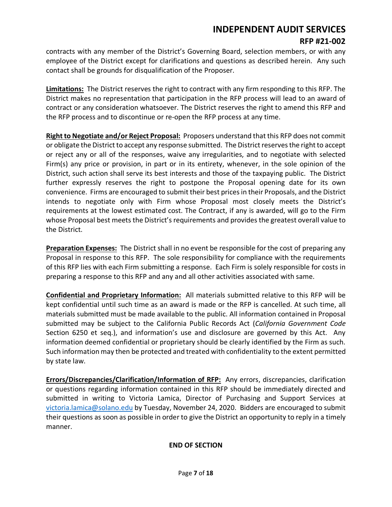contracts with any member of the District's Governing Board, selection members, or with any employee of the District except for clarifications and questions as described herein. Any such contact shall be grounds for disqualification of the Proposer.

**Limitations:** The District reserves the right to contract with any firm responding to this RFP. The District makes no representation that participation in the RFP process will lead to an award of contract or any consideration whatsoever. The District reserves the right to amend this RFP and the RFP process and to discontinue or re-open the RFP process at any time.

**Right to Negotiate and/or Reject Proposal:** Proposers understand that this RFP does not commit or obligate the District to accept any response submitted. The District reserves the right to accept or reject any or all of the responses, waive any irregularities, and to negotiate with selected Firm(s) any price or provision, in part or in its entirety, whenever, in the sole opinion of the District, such action shall serve its best interests and those of the taxpaying public. The District further expressly reserves the right to postpone the Proposal opening date for its own convenience. Firms are encouraged to submit their best prices in their Proposals, and the District intends to negotiate only with Firm whose Proposal most closely meets the District's requirements at the lowest estimated cost. The Contract, if any is awarded, will go to the Firm whose Proposal best meets the District's requirements and provides the greatest overall value to the District.

**Preparation Expenses:** The District shall in no event be responsible for the cost of preparing any Proposal in response to this RFP. The sole responsibility for compliance with the requirements of this RFP lies with each Firm submitting a response. Each Firm is solely responsible for costs in preparing a response to this RFP and any and all other activities associated with same.

**Confidential and Proprietary Information:** All materials submitted relative to this RFP will be kept confidential until such time as an award is made or the RFP is cancelled. At such time, all materials submitted must be made available to the public. All information contained in Proposal submitted may be subject to the California Public Records Act (*California Government Code* Section 6250 et seq.), and information's use and disclosure are governed by this Act. Any information deemed confidential or proprietary should be clearly identified by the Firm as such. Such information may then be protected and treated with confidentiality to the extent permitted by state law.

**Errors/Discrepancies/Clarification/Information of RFP:** Any errors, discrepancies, clarification or questions regarding information contained in this RFP should be immediately directed and submitted in writing to Victoria Lamica, Director of Purchasing and Support Services at [victoria.lamica@solano.edu](mailto:victoria.lamica@solano.edu) by Tuesday, November 24, 2020. Bidders are encouraged to submit their questions as soon as possible in order to give the District an opportunity to reply in a timely manner.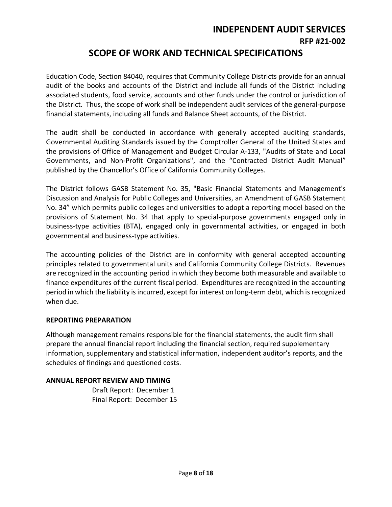### **SCOPE OF WORK AND TECHNICAL SPECIFICATIONS**

<span id="page-7-0"></span>Education Code, Section 84040, requires that Community College Districts provide for an annual audit of the books and accounts of the District and include all funds of the District including associated students, food service, accounts and other funds under the control or jurisdiction of the District. Thus, the scope of work shall be independent audit services of the general-purpose financial statements, including all funds and Balance Sheet accounts, of the District.

The audit shall be conducted in accordance with generally accepted auditing standards, Governmental Auditing Standards issued by the Comptroller General of the United States and the provisions of Office of Management and Budget Circular A-133, "Audits of State and Local Governments, and Non-Profit Organizations", and the "Contracted District Audit Manual" published by the Chancellor's Office of California Community Colleges.

The District follows GASB Statement No. 35, "Basic Financial Statements and Management's Discussion and Analysis for Public Colleges and Universities, an Amendment of GASB Statement No. 34" which permits public colleges and universities to adopt a reporting model based on the provisions of Statement No. 34 that apply to special-purpose governments engaged only in business-type activities (BTA), engaged only in governmental activities, or engaged in both governmental and business-type activities.

The accounting policies of the District are in conformity with general accepted accounting principles related to governmental units and California Community College Districts. Revenues are recognized in the accounting period in which they become both measurable and available to finance expenditures of the current fiscal period. Expenditures are recognized in the accounting period in which the liability is incurred, except for interest on long-term debt, which is recognized when due.

#### **REPORTING PREPARATION**

Although management remains responsible for the financial statements, the audit firm shall prepare the annual financial report including the financial section, required supplementary information, supplementary and statistical information, independent auditor's reports, and the schedules of findings and questioned costs.

#### **ANNUAL REPORT REVIEW AND TIMING**

Draft Report: December 1 Final Report: December 15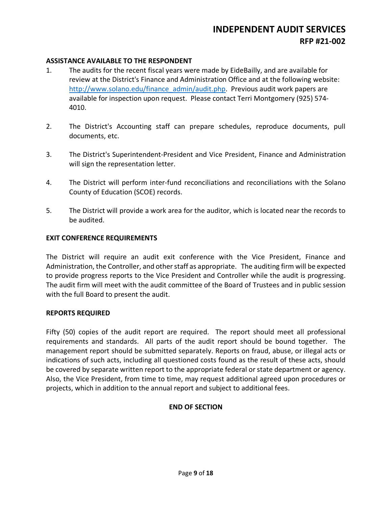#### **ASSISTANCE AVAILABLE TO THE RESPONDENT**

- 1. The audits for the recent fiscal years were made by EideBailly, and are available for review at the District's Finance and Administration Office and at the following website: [http://www.solano.edu/finance\\_admin/audit.php.](http://www.solano.edu/finance_admin/audit.php) Previous audit work papers are available for inspection upon request. Please contact Terri Montgomery (925) 574- 4010.
- 2. The District's Accounting staff can prepare schedules, reproduce documents, pull documents, etc.
- 3. The District's Superintendent-President and Vice President, Finance and Administration will sign the representation letter.
- 4. The District will perform inter-fund reconciliations and reconciliations with the Solano County of Education (SCOE) records.
- 5. The District will provide a work area for the auditor, which is located near the records to be audited.

#### **EXIT CONFERENCE REQUIREMENTS**

The District will require an audit exit conference with the Vice President, Finance and Administration, the Controller, and other staff as appropriate. The auditing firm will be expected to provide progress reports to the Vice President and Controller while the audit is progressing. The audit firm will meet with the audit committee of the Board of Trustees and in public session with the full Board to present the audit.

#### **REPORTS REQUIRED**

Fifty (50) copies of the audit report are required. The report should meet all professional requirements and standards. All parts of the audit report should be bound together. The management report should be submitted separately. Reports on fraud, abuse, or illegal acts or indications of such acts, including all questioned costs found as the result of these acts, should be covered by separate written report to the appropriate federal or state department or agency. Also, the Vice President, from time to time, may request additional agreed upon procedures or projects, which in addition to the annual report and subject to additional fees.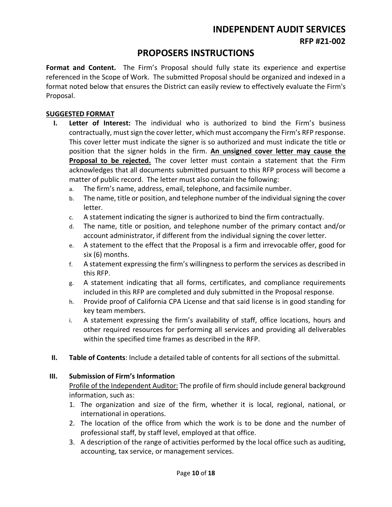# **INDEPENDENT AUDIT SERVICES**

**RFP #21-002**

### **PROPOSERS INSTRUCTIONS**

<span id="page-9-0"></span>**Format and Content.** The Firm's Proposal should fully state its experience and expertise referenced in the Scope of Work. The submitted Proposal should be organized and indexed in a format noted below that ensures the District can easily review to effectively evaluate the Firm's Proposal.

#### **SUGGESTED FORMAT**

- **I. Letter of Interest:** The individual who is authorized to bind the Firm's business contractually, must sign the cover letter, which must accompany the Firm's RFP response. This cover letter must indicate the signer is so authorized and must indicate the title or position that the signer holds in the firm. **An unsigned cover letter may cause the Proposal to be rejected.** The cover letter must contain a statement that the Firm acknowledges that all documents submitted pursuant to this RFP process will become a matter of public record. The letter must also contain the following:
	- a. The firm's name, address, email, telephone, and facsimile number.
	- b. The name, title or position, and telephone number of the individual signing the cover letter.
	- c. A statement indicating the signer is authorized to bind the firm contractually.
	- d. The name, title or position, and telephone number of the primary contact and/or account administrator, if different from the individual signing the cover letter.
	- e. A statement to the effect that the Proposal is a firm and irrevocable offer, good for six (6) months.
	- f. A statement expressing the firm's willingness to perform the services as described in this RFP.
	- g. A statement indicating that all forms, certificates, and compliance requirements included in this RFP are completed and duly submitted in the Proposal response.
	- h. Provide proof of California CPA License and that said license is in good standing for key team members.
	- i. A statement expressing the firm's availability of staff, office locations, hours and other required resources for performing all services and providing all deliverables within the specified time frames as described in the RFP.
- **II. Table of Contents**: Include a detailed table of contents for all sections of the submittal.

#### **III. Submission of Firm's Information**

Profile of the Independent Auditor: The profile of firm should include general background information, such as:

- 1. The organization and size of the firm, whether it is local, regional, national, or international in operations.
- 2. The location of the office from which the work is to be done and the number of professional staff, by staff level, employed at that office.
- 3. A description of the range of activities performed by the local office such as auditing, accounting, tax service, or management services.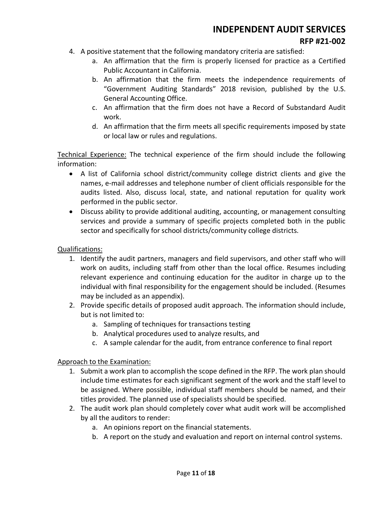- 4. A positive statement that the following mandatory criteria are satisfied:
	- a. An affirmation that the firm is properly licensed for practice as a Certified Public Accountant in California.
	- b. An affirmation that the firm meets the independence requirements of "Government Auditing Standards" 2018 revision, published by the U.S. General Accounting Office.
	- c. An affirmation that the firm does not have a Record of Substandard Audit work.
	- d. An affirmation that the firm meets all specific requirements imposed by state or local law or rules and regulations.

Technical Experience: The technical experience of the firm should include the following information:

- A list of California school district/community college district clients and give the names, e-mail addresses and telephone number of client officials responsible for the audits listed. Also, discuss local, state, and national reputation for quality work performed in the public sector.
- Discuss ability to provide additional auditing, accounting, or management consulting services and provide a summary of specific projects completed both in the public sector and specifically for school districts/community college districts.

#### Qualifications:

- 1. Identify the audit partners, managers and field supervisors, and other staff who will work on audits, including staff from other than the local office. Resumes including relevant experience and continuing education for the auditor in charge up to the individual with final responsibility for the engagement should be included. (Resumes may be included as an appendix).
- 2. Provide specific details of proposed audit approach. The information should include, but is not limited to:
	- a. Sampling of techniques for transactions testing
	- b. Analytical procedures used to analyze results, and
	- c. A sample calendar for the audit, from entrance conference to final report

#### Approach to the Examination:

- 1. Submit a work plan to accomplish the scope defined in the RFP. The work plan should include time estimates for each significant segment of the work and the staff level to be assigned. Where possible, individual staff members should be named, and their titles provided. The planned use of specialists should be specified.
- 2. The audit work plan should completely cover what audit work will be accomplished by all the auditors to render:
	- a. An opinions report on the financial statements.
	- b. A report on the study and evaluation and report on internal control systems.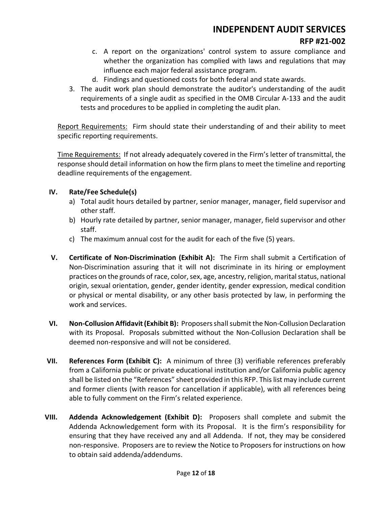#### **RFP #21-002**

- c. A report on the organizations' control system to assure compliance and whether the organization has complied with laws and regulations that may influence each major federal assistance program.
- d. Findings and questioned costs for both federal and state awards.
- 3. The audit work plan should demonstrate the auditor's understanding of the audit requirements of a single audit as specified in the OMB Circular A-133 and the audit tests and procedures to be applied in completing the audit plan.

Report Requirements: Firm should state their understanding of and their ability to meet specific reporting requirements.

Time Requirements:If not already adequately covered in the Firm's letter of transmittal, the response should detail information on how the firm plans to meet the timeline and reporting deadline requirements of the engagement.

#### **IV. Rate/Fee Schedule(s)**

- a) Total audit hours detailed by partner, senior manager, manager, field supervisor and other staff.
- b) Hourly rate detailed by partner, senior manager, manager, field supervisor and other staff.
- c) The maximum annual cost for the audit for each of the five (5) years.
- **V. Certificate of Non-Discrimination (Exhibit A):** The Firm shall submit a Certification of Non-Discrimination assuring that it will not discriminate in its hiring or employment practices on the grounds of race, color, sex, age, ancestry, religion, marital status, national origin, sexual orientation, gender, gender identity, gender expression, medical condition or physical or mental disability, or any other basis protected by law, in performing the work and services.
- **VI. Non-Collusion Affidavit (Exhibit B):** Proposersshall submit the Non-Collusion Declaration with its Proposal. Proposals submitted without the Non-Collusion Declaration shall be deemed non-responsive and will not be considered.
- **VII. References Form (Exhibit C):** A minimum of three (3) verifiable references preferably from a California public or private educational institution and/or California public agency shall be listed on the "References" sheet provided in this RFP. This list may include current and former clients (with reason for cancellation if applicable), with all references being able to fully comment on the Firm's related experience.
- **VIII. Addenda Acknowledgement (Exhibit D):** Proposers shall complete and submit the Addenda Acknowledgement form with its Proposal. It is the firm's responsibility for ensuring that they have received any and all Addenda. If not, they may be considered non-responsive. Proposers are to review the Notice to Proposers for instructions on how to obtain said addenda/addendums.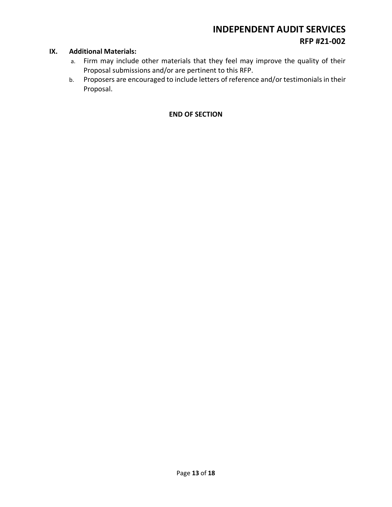#### **IX. Additional Materials:**

- a. Firm may include other materials that they feel may improve the quality of their Proposal submissions and/or are pertinent to this RFP.
- b. Proposers are encouraged to include letters of reference and/or testimonials in their Proposal.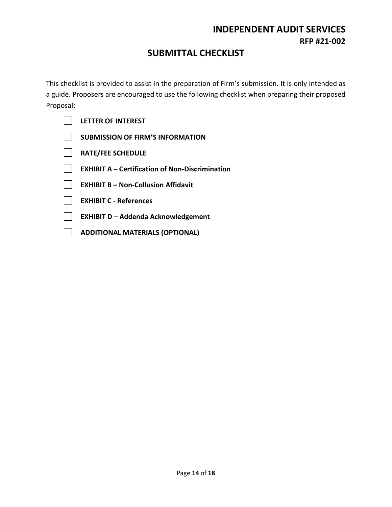## **SUBMITTAL CHECKLIST**

<span id="page-13-0"></span>This checklist is provided to assist in the preparation of Firm's submission. It is only intended as a guide. Proposers are encouraged to use the following checklist when preparing their proposed Proposal:

| <b>LETTER OF INTEREST</b>                              |
|--------------------------------------------------------|
| <b>SUBMISSION OF FIRM'S INFORMATION</b>                |
| <b>RATE/FEE SCHEDULE</b>                               |
| <b>EXHIBIT A - Certification of Non-Discrimination</b> |
| <b>EXHIBIT B - Non-Collusion Affidavit</b>             |
| <b>EXHIBIT C - References</b>                          |
| <b>EXHIBIT D - Addenda Acknowledgement</b>             |
| <b>ADDITIONAL MATERIALS (OPTIONAL)</b>                 |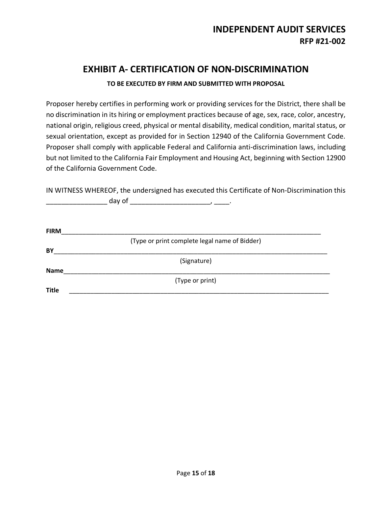# **EXHIBIT A- CERTIFICATION OF NON-DISCRIMINATION**

#### **TO BE EXECUTED BY FIRM AND SUBMITTED WITH PROPOSAL**

<span id="page-14-0"></span>Proposer hereby certifies in performing work or providing services for the District, there shall be no discrimination in its hiring or employment practices because of age, sex, race, color, ancestry, national origin, religious creed, physical or mental disability, medical condition, marital status, or sexual orientation, except as provided for in Section 12940 of the California Government Code. Proposer shall comply with applicable Federal and California anti-discrimination laws, including but not limited to the California Fair Employment and Housing Act, beginning with Section 12900 of the California Government Code.

IN WITNESS WHEREOF, the undersigned has executed this Certificate of Non-Discrimination this \_\_\_\_\_\_\_\_\_\_\_\_\_\_\_\_ day of \_\_\_\_\_\_\_\_\_\_\_\_\_\_\_\_\_\_\_\_\_, \_\_\_\_.

| <b>FIRM</b>  |                                               |
|--------------|-----------------------------------------------|
|              | (Type or print complete legal name of Bidder) |
| BY           |                                               |
|              | (Signature)                                   |
| <b>Name</b>  |                                               |
|              | (Type or print)                               |
| <b>Title</b> |                                               |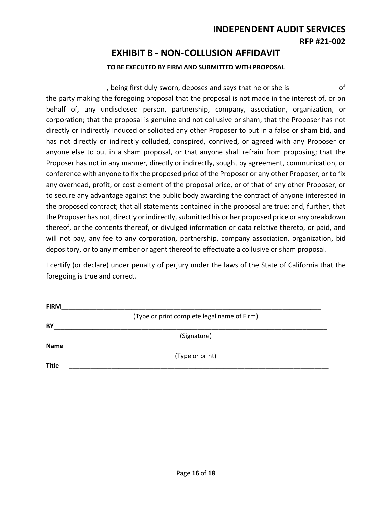### **EXHIBIT B - NON-COLLUSION AFFIDAVIT**

#### **TO BE EXECUTED BY FIRM AND SUBMITTED WITH PROPOSAL**

<span id="page-15-0"></span> , being first duly sworn, deposes and says that he or she is of the party making the foregoing proposal that the proposal is not made in the interest of, or on behalf of, any undisclosed person, partnership, company, association, organization, or corporation; that the proposal is genuine and not collusive or sham; that the Proposer has not directly or indirectly induced or solicited any other Proposer to put in a false or sham bid, and has not directly or indirectly colluded, conspired, connived, or agreed with any Proposer or anyone else to put in a sham proposal, or that anyone shall refrain from proposing; that the Proposer has not in any manner, directly or indirectly, sought by agreement, communication, or conference with anyone to fix the proposed price of the Proposer or any other Proposer, or to fix any overhead, profit, or cost element of the proposal price, or of that of any other Proposer, or to secure any advantage against the public body awarding the contract of anyone interested in the proposed contract; that all statements contained in the proposal are true; and, further, that the Proposer has not, directly or indirectly, submitted his or her proposed price or any breakdown thereof, or the contents thereof, or divulged information or data relative thereto, or paid, and will not pay, any fee to any corporation, partnership, company association, organization, bid depository, or to any member or agent thereof to effectuate a collusive or sham proposal.

I certify (or declare) under penalty of perjury under the laws of the State of California that the foregoing is true and correct.

| <b>FIRM</b>  |                                             |  |
|--------------|---------------------------------------------|--|
|              | (Type or print complete legal name of Firm) |  |
| BY           |                                             |  |
|              | (Signature)                                 |  |
| <b>Name</b>  |                                             |  |
|              | (Type or print)                             |  |
| <b>Title</b> |                                             |  |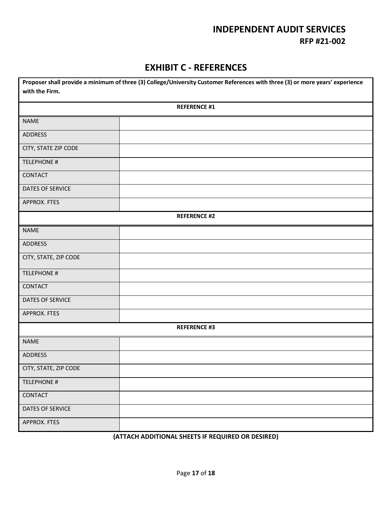### **EXHIBIT C - REFERENCES**

<span id="page-16-0"></span>

| Proposer shall provide a minimum of three (3) College/University Customer References with three (3) or more years' experience |                     |  |
|-------------------------------------------------------------------------------------------------------------------------------|---------------------|--|
| with the Firm.                                                                                                                |                     |  |
|                                                                                                                               | <b>REFERENCE #1</b> |  |
| <b>NAME</b>                                                                                                                   |                     |  |
| ADDRESS                                                                                                                       |                     |  |
| CITY, STATE ZIP CODE                                                                                                          |                     |  |
| <b>TELEPHONE #</b>                                                                                                            |                     |  |
| CONTACT                                                                                                                       |                     |  |
| DATES OF SERVICE                                                                                                              |                     |  |
| APPROX. FTES                                                                                                                  |                     |  |
|                                                                                                                               | <b>REFERENCE #2</b> |  |
| <b>NAME</b>                                                                                                                   |                     |  |
| <b>ADDRESS</b>                                                                                                                |                     |  |
| CITY, STATE, ZIP CODE                                                                                                         |                     |  |
| <b>TELEPHONE #</b>                                                                                                            |                     |  |
| CONTACT                                                                                                                       |                     |  |
| DATES OF SERVICE                                                                                                              |                     |  |
| APPROX. FTES                                                                                                                  |                     |  |
|                                                                                                                               | <b>REFERENCE #3</b> |  |
| <b>NAME</b>                                                                                                                   |                     |  |
| <b>ADDRESS</b>                                                                                                                |                     |  |
| CITY, STATE, ZIP CODE                                                                                                         |                     |  |
| <b>TELEPHONE #</b>                                                                                                            |                     |  |
| CONTACT                                                                                                                       |                     |  |
| DATES OF SERVICE                                                                                                              |                     |  |
| APPROX. FTES                                                                                                                  |                     |  |

#### **(ATTACH ADDITIONAL SHEETS IF REQUIRED OR DESIRED)**